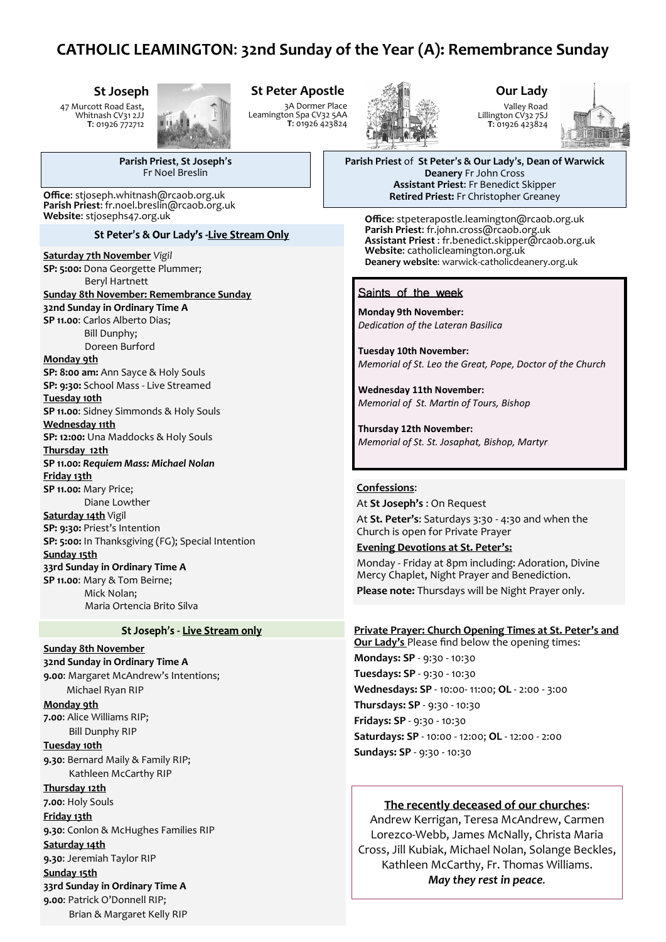# **CATHOLIC LEAMINGTON**: **32nd Sunday of the Year (A): Remembrance Sunday**

### **St Joseph**

47 Murcott Road East, Whitnash CV31 2JJ **T**: 01926 772712



# **St Peter Apostle**

3A Dormer Place Leamington Spa CV32 5AA **T**: 01926 423824



#### **Our Lady** Valley Road Lillington CV32 7SJ **T**: 01926 423824



**Parish Priest** of **St Peter**'**s & Our Lady**'**s**, **Dean of Warwick Deanery** Fr John Cross **Assistant Priest**: Fr Benedict Skipper **Office**: stjoseph.whitnash@rcaob.org.uk **Retired Priest:** Fr Christopher Greaney

> **Office**: stpeterapostle.leamington@rcaob.org.uk **Parish Priest**: fr.john.cross@rcaob.org.uk **Assistant Priest** : fr.benedict.skipper@rcaob.org.uk **Website**: catholicleamington.org.uk **Deanery website**: warwick-[catholicdeanery.org.uk](https://eur01.safelinks.protection.outlook.com/?url=http%3A%2F%2Fwarwick-catholicdeanery.org.uk%2Fnewsletter-sign-up%2F&data=02%7C01%7C%7C721285f1bfe64a92393d08d7a351cd53%7C84df9e7fe9f640afb435aaaaaaaaaaaa%7C1%7C0%7C637157444038479073&sdata=wJyzCzyquvWm6KYBMn)

### Saints of the week

**Monday 9th November:**  *Dedication of the Lateran Basilica*

**Tuesday 10th November:**  *Memorial of St. Leo the Great, Pope, Doctor of the Church*

**Wednesday 11th November:**  *Memorial of St. Martin of Tours, Bishop*

**Thursday 12th November:**  *Memorial of St. St. Josaphat, Bishop, Martyr*

#### **Confessions**:

At **St Joseph's** : On Request At **St. Peter's**: Saturdays 3:30 - 4:30 and when the Church is open for Private Prayer

**Evening Devotions at St. Peter's:** Monday - Friday at 8pm including: Adoration, Divine Mercy Chaplet, Night Prayer and Benediction. **Please note:** Thursdays will be Night Prayer only.

# **Private Prayer: Church Opening Times at St. Peter's and**

**Our Lady's** Please find below the opening times: **Mondays: SP** - 9:30 - 10:30 **Tuesdays: SP** - 9:30 - 10:30 **Wednesdays: SP** - 10:00- 11:00; **OL** - 2:00 - 3:00 **Thursdays: SP** - 9:30 - 10:30 **Fridays: SP** - 9:30 - 10:30 **Saturdays: SP** - 10:00 - 12:00; **OL** - 12:00 - 2:00 **Sundays: SP** - 9:30 - 10:30

### **The recently deceased of our churches**:

Andrew Kerrigan, Teresa McAndrew, Carmen Lorezco-Webb, James McNally, Christa Maria Cross, Jill Kubiak, Michael Nolan, Solange Beckles, Kathleen McCarthy, Fr. Thomas Williams. *May they rest in peace.*

**Parish Priest**, **St Joseph**'**s** Fr Noel Breslin

**Parish Priest**: fr.noel.breslin@rcaob.org.uk **Website**: stjosephs47.org.uk

#### St Peter's & Our Lady's -Live Stream Only

**Saturday 7th November** *Vigil*

#### **SP: 5:00:** Dona Georgette Plummer; Beryl Hartnett

**Sunday 8th November: Remembrance Sunday 32nd Sunday in Ordinary Time A SP 11.00**: Carlos Alberto Dias; Bill Dunphy; Doreen Burford

#### **Monday 9th**

**SP: 8:00 am:** Ann Sayce & Holy Souls **SP: 9:30:** School Mass - Live Streamed **Tuesday 10th**

**SP 11.00**: Sidney Simmonds & Holy Souls **Wednesday 11th**

**SP: 12:00:** Una Maddocks & Holy Souls **Thursday 12th**

# **SP 11.00:** *Requiem Mass: Michael Nolan* **Friday 13th**

**SP 11.00:** Mary Price; Diane Lowther **Saturday 14th** Vigil **SP: 9:30:** Priest's Intention

**SP: 5:00:** In Thanksgiving (FG); Special Intention **Sunday 15th**

### **33rd Sunday in Ordinary Time A SP 11.00**: Mary & Tom Beirne;

 Mick Nolan; Maria Ortencia Brito Silva

#### St Joseph's - Live Stream only

**Sunday 8th November 32nd Sunday in Ordinary Time A 9.00**: Margaret McAndrew's Intentions; Michael Ryan RIP **Monday 9th 7.00**: Alice Williams RIP; Bill Dunphy RIP **Tuesday 10th 9.30**: Bernard Maily & Family RIP; Kathleen McCarthy RIP **Thursday 12th 7.00**: Holy Souls **Friday 13th 9.30**: Conlon & McHughes Families RIP **Saturday 14th 9.30**: Jeremiah Taylor RIP **Sunday 15th 33rd Sunday in Ordinary Time A 9.00**: Patrick O'Donnell RIP; Brian & Margaret Kelly RIP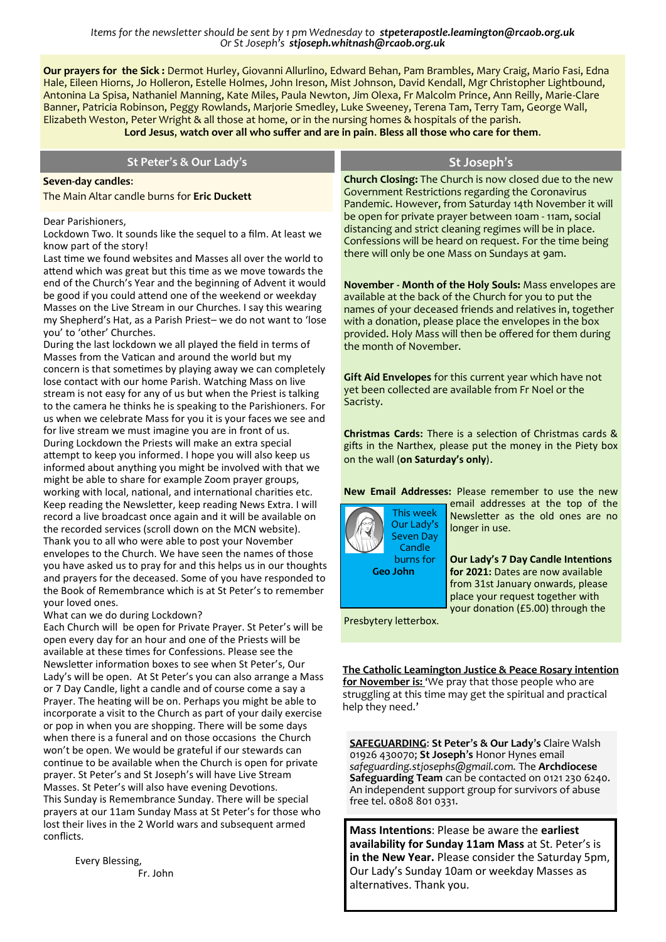*Items for the newsletter should be sent by 1 pm Wednesday to stpeterapostle.leamington@rcaob.org.uk Or St Joseph's stjoseph.whitnash@rcaob.org.uk* 

**Our prayers for the Sick :** Dermot Hurley, Giovanni Allurlino, Edward Behan, Pam Brambles, Mary Craig, Mario Fasi, Edna Hale, Eileen Hiorns, Jo Holleron, Estelle Holmes, John Ireson, Mist Johnson, David Kendall, Mgr Christopher Lightbound, Antonina La Spisa, Nathaniel Manning, Kate Miles, Paula Newton, Jim Olexa, Fr Malcolm Prince, Ann Reilly, Marie-Clare Banner, Patricia Robinson, Peggy Rowlands, Marjorie Smedley, Luke Sweeney, Terena Tam, Terry Tam, George Wall, Elizabeth Weston, Peter Wright & all those at home, or in the nursing homes & hospitals of the parish.

**Lord Jesus**, **watch over all who suffer and are in pain**. **Bless all those who care for them**.

| Lord Jesus, watch over all who suffer and are in pain. Bless all those who care for them.                                                                                                                                                                                                                                                                                                                                                             |                                                                                                                                                                                                                                                                                                     |
|-------------------------------------------------------------------------------------------------------------------------------------------------------------------------------------------------------------------------------------------------------------------------------------------------------------------------------------------------------------------------------------------------------------------------------------------------------|-----------------------------------------------------------------------------------------------------------------------------------------------------------------------------------------------------------------------------------------------------------------------------------------------------|
| St Peter's & Our Lady's                                                                                                                                                                                                                                                                                                                                                                                                                               | St Joseph's                                                                                                                                                                                                                                                                                         |
| Seven-day candles:<br>The Main Altar candle burns for Eric Duckett                                                                                                                                                                                                                                                                                                                                                                                    | Church Closing: The Church is now closed due to the new<br>Government Restrictions regarding the Coronavirus<br>Pandemic. However, from Saturday 14th November it will                                                                                                                              |
| Dear Parishioners,<br>Lockdown Two. It sounds like the sequel to a film. At least we<br>know part of the story!<br>Last time we found websites and Masses all over the world to<br>attend which was great but this time as we move towards the                                                                                                                                                                                                        | be open for private prayer between 10am - 11am, social<br>distancing and strict cleaning regimes will be in place.<br>Confessions will be heard on request. For the time being<br>there will only be one Mass on Sundays at 9am.                                                                    |
| end of the Church's Year and the beginning of Advent it would<br>be good if you could attend one of the weekend or weekday<br>Masses on the Live Stream in our Churches. I say this wearing<br>my Shepherd's Hat, as a Parish Priest- we do not want to 'lose<br>you' to 'other' Churches.                                                                                                                                                            | November - Month of the Holy Souls: Mass envelopes are<br>available at the back of the Church for you to put the<br>names of your deceased friends and relatives in, together<br>with a donation, please place the envelopes in the box<br>provided. Holy Mass will then be offered for them during |
| During the last lockdown we all played the field in terms of<br>Masses from the Vatican and around the world but my<br>concern is that sometimes by playing away we can completely<br>lose contact with our home Parish. Watching Mass on live<br>stream is not easy for any of us but when the Priest is talking<br>to the camera he thinks he is speaking to the Parishioners. For<br>us when we celebrate Mass for you it is your faces we see and | the month of November.<br>Gift Aid Envelopes for this current year which have not<br>yet been collected are available from Fr Noel or the<br>Sacristy.                                                                                                                                              |
| for live stream we must imagine you are in front of us.<br>During Lockdown the Priests will make an extra special<br>attempt to keep you informed. I hope you will also keep us<br>informed about anything you might be involved with that we<br>might be able to share for example Zoom prayer groups,                                                                                                                                               | Christmas Cards: There is a selection of Christmas cards &<br>gifts in the Narthex, please put the money in the Piety box<br>on the wall (on Saturday's only).                                                                                                                                      |
| working with local, national, and international charities etc.<br>Keep reading the Newsletter, keep reading News Extra. I will<br>record a live broadcast once again and it will be available on<br>the recorded services (scroll down on the MCN website).<br>Thank you to all who were able to post your November<br>envelopes to the Church. We have seen the names of those<br>you have asked us to pray for and this helps us in our thoughts    | New Email Addresses: Please remember to use the new<br>email addresses at the top of the<br>This week<br>Newsletter as the old ones are no<br>Our Lady's<br>longer in use.<br><b>Seven Day</b><br>Candle<br>burns for<br>Our Lady's 7 Day Candle Intentions                                         |
| and prayers for the deceased. Some of you have responded to<br>the Book of Remembrance which is at St Peter's to remember<br>your loved ones.<br>What can we do during Lockdown?                                                                                                                                                                                                                                                                      | <b>Geo John</b><br>for 2021: Dates are now available<br>from 31st January onwards, please<br>place your request together with<br>your donation (£5.00) through the                                                                                                                                  |
| Each Church will be open for Private Prayer. St Peter's will be<br>open every day for an hour and one of the Priests will be                                                                                                                                                                                                                                                                                                                          | Presbytery letterbox.                                                                                                                                                                                                                                                                               |
| available at these times for Confessions. Please see the<br>Newsletter information boxes to see when St Peter's, Our<br>Lady's will be open. At St Peter's you can also arrange a Mass<br>or 7 Day Candle, light a candle and of course come a say a<br>Prayer. The heating will be on. Perhaps you might be able to<br>incorporate a visit to the Church as part of your daily exercise<br>or pop in when you are shopping. There will be some days  | The Catholic Leamington Justice & Peace Rosary intention<br>for November is: 'We pray that those people who are<br>struggling at this time may get the spiritual and practical<br>help they need.'                                                                                                  |
| when there is a funeral and on those occasions the Church<br>won't be open. We would be grateful if our stewards can                                                                                                                                                                                                                                                                                                                                  | <b>SAFEGUARDING: St Peter's &amp; Our Lady's Claire Walsh</b><br>$(226.420270)$ $St$ loseph's Hoper Hypes email                                                                                                                                                                                     |

**SAFEGUARDING**: **St Peter**'**s & Our Lady**'**s** Claire Walsh 01926 430070; **St Joseph**'**s** Honor Hynes email *safeguarding.stjosephs@gmail.com.* The **Archdiocese Safeguarding Team** can be contacted on 0121 230 6240. An independent support group for survivors of abuse free tel. 0808 801 0331.

**Mass Intentions**: Please be aware the **earliest availability for Sunday 11am Mass** at St. Peter's is **in the New Year.** Please consider the Saturday 5pm, Our Lady's Sunday 10am or weekday Masses as alternatives. Thank you.

Every Blessing, Fr. John

conflicts.

continue to be available when the Church is open for private prayer. St Peter's and St Joseph's will have Live Stream Masses. St Peter's will also have evening Devotions. This Sunday is Remembrance Sunday. There will be special prayers at our 11am Sunday Mass at St Peter's for those who lost their lives in the 2 World wars and subsequent armed